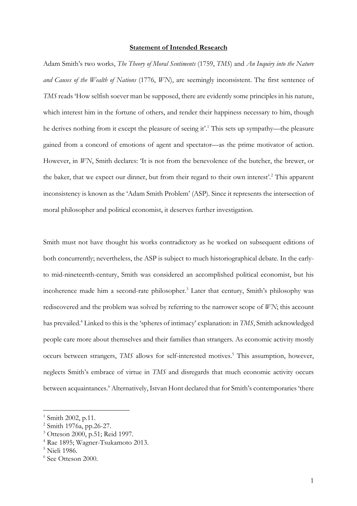## **Statement of Intended Research**

Adam Smith's two works, *The Theory of Moral Sentiments* (1759, *TMS*) and *An Inquiry into the Nature and Causes of the Wealth of Nations* (1776, *WN*), are seemingly inconsistent. The first sentence of *TMS* reads 'How selfish soever man be supposed, there are evidently some principles in his nature, which interest him in the fortune of others, and render their happiness necessary to him, though he derives nothing from it except the pleasure of seeing it'. <sup>1</sup> This sets up sympathy—the pleasure gained from a concord of emotions of agent and spectator—as the prime motivator of action. However, in *WN*, Smith declares: 'It is not from the benevolence of the butcher, the brewer, or the baker, that we expect our dinner, but from their regard to their own interest'.2 This apparent inconsistency is known as the 'Adam Smith Problem' (ASP). Since it represents the intersection of moral philosopher and political economist, it deserves further investigation.

Smith must not have thought his works contradictory as he worked on subsequent editions of both concurrently; nevertheless, the ASP is subject to much historiographical debate. In the earlyto mid-nineteenth-century, Smith was considered an accomplished political economist, but his incoherence made him a second-rate philosopher.<sup>3</sup> Later that century, Smith's philosophy was rediscovered and the problem was solved by referring to the narrower scope of *WN*; this account has prevailed.4 Linked to this is the 'spheres of intimacy' explanation: in *TMS*, Smith acknowledged people care more about themselves and their families than strangers. As economic activity mostly occurs between strangers, *TMS* allows for self-interested motives. <sup>5</sup> This assumption, however, neglects Smith's embrace of virtue in *TMS* and disregards that much economic activity occurs between acquaintances. <sup>6</sup> Alternatively, Istvan Hont declared that for Smith's contemporaries 'there

 $1 \text{ Smith } 2002$ , p.11.

<sup>2</sup> Smith 1976a, pp.26-27.

<sup>3</sup> Otteson 2000, p.51; Reid 1997.

<sup>4</sup> Rae 1895; Wagner-Tsukamoto 2013.

<sup>&</sup>lt;sup>5</sup> Nieli 1986.

<sup>6</sup> See Otteson 2000.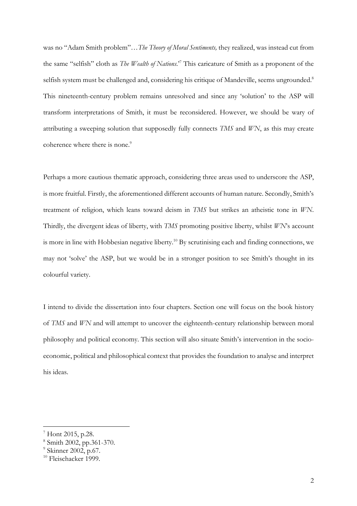was no "Adam Smith problem"…*The Theory of Moral Sentiments,* they realized, was instead cut from the same "selfish" cloth as *The Wealth of Nations*.'7 This caricature of Smith as a proponent of the selfish system must be challenged and, considering his critique of Mandeville, seems ungrounded.<sup>8</sup> This nineteenth-century problem remains unresolved and since any 'solution' to the ASP will transform interpretations of Smith, it must be reconsidered. However, we should be wary of attributing a sweeping solution that supposedly fully connects *TMS* and *WN*, as this may create coherence where there is none.<sup>9</sup>

Perhaps a more cautious thematic approach, considering three areas used to underscore the ASP, is more fruitful. Firstly, the aforementioned different accounts of human nature. Secondly, Smith's treatment of religion, which leans toward deism in *TMS* but strikes an atheistic tone in *WN*. Thirdly, the divergent ideas of liberty, with *TMS* promoting positive liberty, whilst *WN*'s account is more in line with Hobbesian negative liberty.<sup>10</sup> By scrutinising each and finding connections, we may not 'solve' the ASP, but we would be in a stronger position to see Smith's thought in its colourful variety.

I intend to divide the dissertation into four chapters. Section one will focus on the book history of *TMS* and *WN* and will attempt to uncover the eighteenth-century relationship between moral philosophy and political economy. This section will also situate Smith's intervention in the socioeconomic, political and philosophical context that provides the foundation to analyse and interpret his ideas.

<sup>7</sup> Hont 2015, p.28.

<sup>8</sup> Smith 2002, pp.361-370.

<sup>&</sup>lt;sup>9</sup> Skinner 2002, p.67.

<sup>&</sup>lt;sup>10</sup> Fleischacker 1999.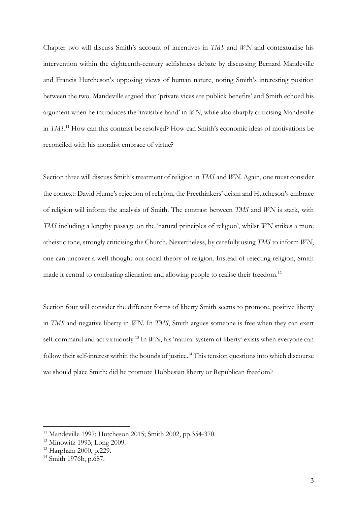Chapter two will discuss Smith's account of incentives in *TMS* and *WN* and contextualise his intervention within the eighteenth-century selfishness debate by discussing Bernard Mandeville and Francis Hutcheson's opposing views of human nature, noting Smith's interesting position between the two. Mandeville argued that 'private vices are publick benefits' and Smith echoed his argument when he introduces the 'invisible hand' in *WN*, while also sharply criticising Mandeville in *TMS*. <sup>11</sup> How can this contrast be resolved? How can Smith's economic ideas of motivations be reconciled with his moralist embrace of virtue?

Section three will discuss Smith's treatment of religion in *TMS* and *WN*. Again, one must consider the context: David Hume's rejection of religion, the Freethinkers' deism and Hutcheson's embrace of religion will inform the analysis of Smith. The contrast between *TMS* and *WN* is stark, with *TMS* including a lengthy passage on the 'natural principles of religion', whilst *WN* strikes a more atheistic tone, strongly criticising the Church. Nevertheless, by carefully using *TMS* to inform *WN*, one can uncover a well-thought-out social theory of religion. Instead of rejecting religion, Smith made it central to combating alienation and allowing people to realise their freedom.<sup>12</sup>

Section four will consider the different forms of liberty Smith seems to promote, positive liberty in *TMS* and negative liberty in *WN*. In *TMS*, Smith argues someone is free when they can exert self-command and act virtuously.<sup>13</sup> In *WN*, his 'natural system of liberty' exists when everyone can follow their self-interest within the bounds of justice.<sup>14</sup> This tension questions into which discourse we should place Smith: did he promote Hobbesian liberty or Republican freedom?

<sup>11</sup> Mandeville 1997; Hutcheson 2015; Smith 2002, pp.354-370.

<sup>12</sup> Minowitz 1993; Long 2009.

<sup>13</sup> Harpham 2000, p.229.

 $14$  Smith 1976b, p.687.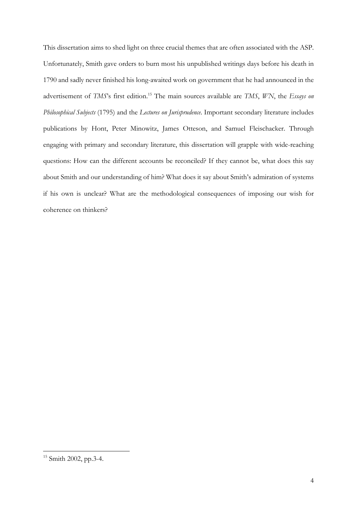This dissertation aims to shed light on three crucial themes that are often associated with the ASP. Unfortunately, Smith gave orders to burn most his unpublished writings days before his death in 1790 and sadly never finished his long-awaited work on government that he had announced in the advertisement of *TMS*'s first edition. <sup>15</sup> The main sources available are *TMS*, *WN*, the *Essays on Philosophical Subjects* (1795) and the *Lectures on Jurisprudence*. Important secondary literature includes publications by Hont, Peter Minowitz, James Otteson, and Samuel Fleischacker. Through engaging with primary and secondary literature, this dissertation will grapple with wide-reaching questions: How can the different accounts be reconciled? If they cannot be, what does this say about Smith and our understanding of him? What does it say about Smith's admiration of systems if his own is unclear? What are the methodological consequences of imposing our wish for coherence on thinkers?

<sup>&</sup>lt;sup>15</sup> Smith 2002, pp.3-4.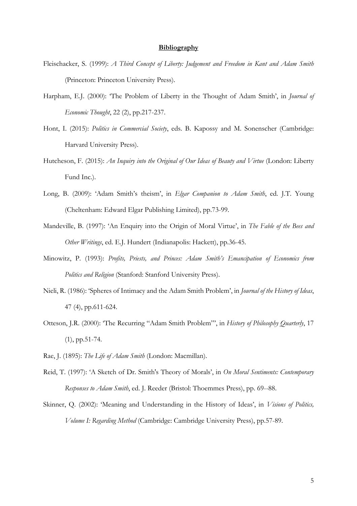## **Bibliography**

- Fleischacker, S. (1999): *A Third Concept of Liberty: Judgement and Freedom in Kant and Adam Smith* (Princeton: Princeton University Press).
- Harpham, E.J. (2000): 'The Problem of Liberty in the Thought of Adam Smith', in *Journal of Economic Thought*, 22 (2), pp.217-237.
- Hont, I. (2015): *Politics in Commercial Society*, eds. B. Kapossy and M. Sonenscher (Cambridge: Harvard University Press).
- Hutcheson, F. (2015): *An Inquiry into the Original of Our Ideas of Beauty and Virtue* (London: Liberty Fund Inc.).
- Long, B. (2009): 'Adam Smith's theism', in *Elgar Companion to Adam Smith*, ed. J.T. Young (Cheltenham: Edward Elgar Publishing Limited), pp.73-99.
- Mandeville, B. (1997): 'An Enquiry into the Origin of Moral Virtue', in *The Fable of the Bees and Other Writings*, ed. E.J. Hundert (Indianapolis: Hackett), pp.36-45.
- Minowitz, P. (1993): *Profits, Priests, and Princes: Adam Smith's Emancipation of Economics from Politics and Religion* (Stanford: Stanford University Press).
- Nieli, R. (1986): 'Spheres of Intimacy and the Adam Smith Problem', in *Journal of the History of Ideas*, 47 (4), pp.611-624.
- Otteson, J.R. (2000): 'The Recurring "Adam Smith Problem"', in *History of Philosophy Quarterly*, 17 (1), pp.51-74.
- Rae, J. (1895): *The Life of Adam Smith* (London: Macmillan).
- Reid, T. (1997): 'A Sketch of Dr. Smith's Theory of Morals', in *On Moral Sentiments: Contemporary Responses to Adam Smith*, ed. J. Reeder (Bristol: Thoemmes Press), pp. 69--88.
- Skinner, Q. (2002): 'Meaning and Understanding in the History of Ideas', in *Visions of Politics, Volume I: Regarding Method* (Cambridge: Cambridge University Press), pp.57-89.